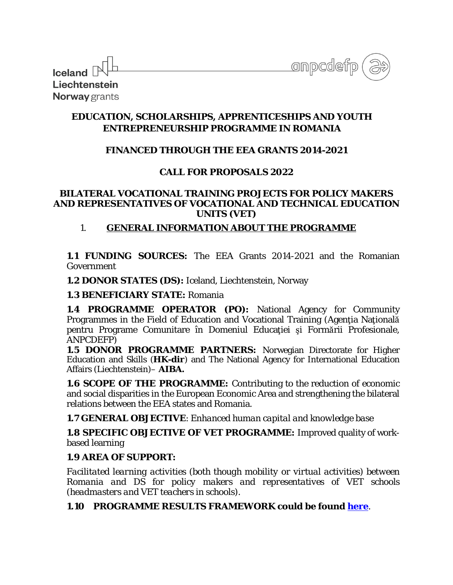| <b>Iceland</b> $\mathbb{R}^{\mathbb{L}}$ |  |
|------------------------------------------|--|
|                                          |  |
| Liechtenstein                            |  |
| <b>Norway</b> grants                     |  |

onpcdefp

# **EDUCATION, SCHOLARSHIPS, APPRENTICESHIPS AND YOUTH ENTREPRENEURSHIP PROGRAMME IN ROMANIA**

## **FINANCED THROUGH THE EEA GRANTS 2014-2021**

## **CALL FOR PROPOSALS 2022**

#### **BILATERAL VOCATIONAL TRAINING PROJECTS FOR POLICY MAKERS AND REPRESENTATIVES OF VOCATIONAL AND TECHNICAL EDUCATION UNITS (VET)**

## 1. **GENERAL INFORMATION ABOUT THE PROGRAMME**

**1.1 FUNDING SOURCES:** The EEA Grants 2014-2021 and the Romanian Government

**1.2 DONOR STATES (DS):** Iceland, Liechtenstein, Norway

### **1.3 BENEFICIARY STATE:** Romania

**1.4 PROGRAMME OPERATOR (PO):** National Agency for Community Programmes in the Field of Education and Vocational Training (Agenţia Naţională pentru Programe Comunitare în Domeniul Educației și Formării Profesionale, ANPCDEFP)

**1.5 DONOR PROGRAMME PARTNERS:** Norwegian Directorate for Higher Education and Skills (**HK-dir**) and The National Agency for International Education Affairs (Liechtenstein)– **AIBA.**

**1.6 SCOPE OF THE PROGRAMME:** Contributing to the reduction of economic and social disparities in the European Economic Area and strengthening the bilateral relations between the EEA states and Romania.

**1.7 GENERAL OBJECTIVE**: *Enhanced human capital and knowledge base*

**1.8 SPECIFIC OBJECTIVE OF VET PROGRAMME***:* Improved quality of workbased learning

# **1.9 AREA OF SUPPORT:**

*Facilitated learning activities (both though mobility or virtual activities) between Romania and DS for policy makers and representatives of VET schools (headmasters and VET teachers in schools).*

# **1.10 PROGRAMME RESULTS FRAMEWORK could be found [here](https://www.eea4edu.ro/wp-content/uploads/2021/07/ESAYEP_indicators_2021.pdf)**.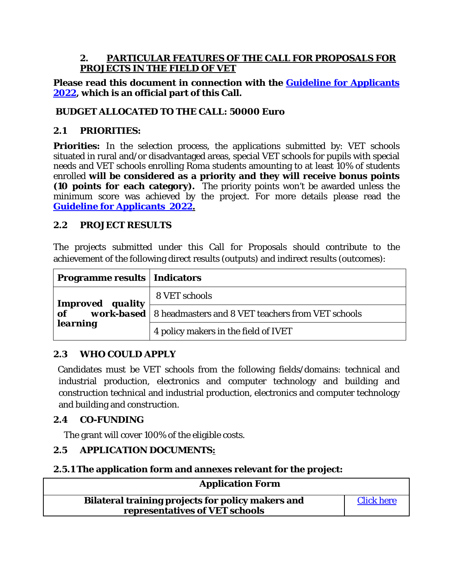### **2. PARTICULAR FEATURES OF THE CALL FOR PROPOSALS FOR PROJECTS IN THE FIELD OF VET**

## **Please read this document in connection with the [Guideline for Applicants](https://www.eea4edu.ro/wp-content/uploads/2022/01/Guide_VET_2022_EN.pdf)  [2022,](https://www.eea4edu.ro/wp-content/uploads/2022/01/Guide_VET_2022_EN.pdf) which is an official part of this Call.**

## **BUDGET ALLOCATED TO THE CALL: 50000 Euro**

### **2.1 PRIORITIES:**

**Priorities:** In the selection process, the applications submitted by: VET schools situated in rural and/or disadvantaged areas, special VET schools for pupils with special needs and VET schools enrolling Roma students amounting to at least 10% of students enrolled **will be considered as a priority and they will receive bonus points (10 points for each category).** The priority points won't be awarded unless the minimum score was achieved by the project. For more details please read the **[Guideline for Applicants 2022.](https://www.eea4edu.ro/wp-content/uploads/2022/01/Guide_VET_2022_EN.pdf)**

#### **2.2 PROJECT RESULTS**

The projects submitted under this Call for Proposals should contribute to the achievement of the following direct results (outputs) and indirect results (outcomes):

| <b>Programme results   Indicators</b> |                                                                       |
|---------------------------------------|-----------------------------------------------------------------------|
| Improved quality                      | 8 VET schools                                                         |
| of                                    | <b>work-based</b>   8 headmasters and 8 VET teachers from VET schools |
| <b>learning</b>                       | 4 policy makers in the field of IVET                                  |

## **2.3 WHO COULD APPLY**

Candidates must be VET schools from the following fields/domains: technical and industrial production, electronics and computer technology and building and construction technical and industrial production, electronics and computer technology and building and construction.

## **2.4 CO-FUNDING**

The grant will cover 100% of the eligible costs.

## **2.5 APPLICATION DOCUMENTS:**

## **2.5.1 The application form and annexes relevant for the project:**

| <b>Application Form</b>                                                             |                   |
|-------------------------------------------------------------------------------------|-------------------|
| Bilateral training projects for policy makers and<br>representatives of VET schools | <b>Click here</b> |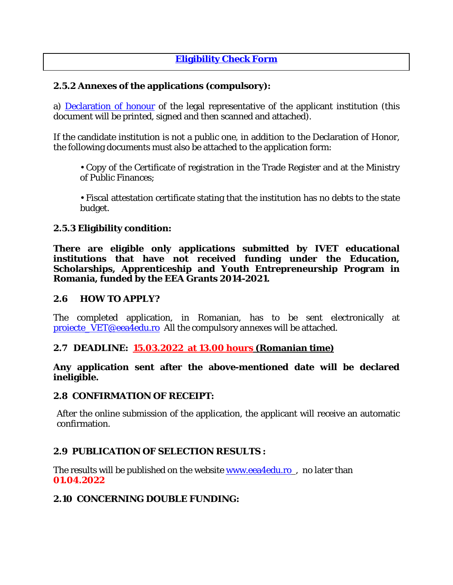# **[Eligibility Check Form](https://www.eea4edu.ro/wp-content/uploads/2022/01/Fisa_eligibilitate_VS_VET_2022.pdf)**

## **2.5.2 Annexes of the applications (compulsory):**

a) [Declaration of honour](https://www.eea4edu.ro/wp-content/uploads/2022/01/Declaratia_de_onoare_2022_RO.pdf) of the legal representative of the applicant institution (this document will be printed, signed and then scanned and attached).

If the candidate institution is not a public one, in addition to the Declaration of Honor, the following documents must also be attached to the application form:

• Copy of the Certificate of registration in the Trade Register and at the Ministry of Public Finances;

• Fiscal attestation certificate stating that the institution has no debts to the state budget.

#### **2.5.3 Eligibility condition:**

**There are eligible only applications submitted by IVET educational**  institutions that have not received funding under the Education, **Scholarships, Apprenticeship and Youth Entrepreneurship Program in Romania, funded by the EEA Grants 2014-2021.**

#### **2.6 HOW TO APPLY?**

The completed application, in Romanian, has to be sent electronically at [proiecte\\_VET@eea4edu.ro](mailto:proiecte_VET@eea4edu.ro) All the compulsory annexes will be attached.

#### **2.7 DEADLINE: 15.03.2022 at 13.00 hours (Romanian time)**

#### **Any application sent after the above-mentioned date will be declared ineligible.**

#### **2.8 CONFIRMATION OF RECEIPT:**

After the online submission of the application, the applicant will receive an automatic confirmation.

#### **2.9 PUBLICATION OF SELECTION RESULTS :**

The results will be published on the website **www.eea4edu.ro**, no later than **01.04.2022**

#### **2.10 CONCERNING DOUBLE FUNDING:**